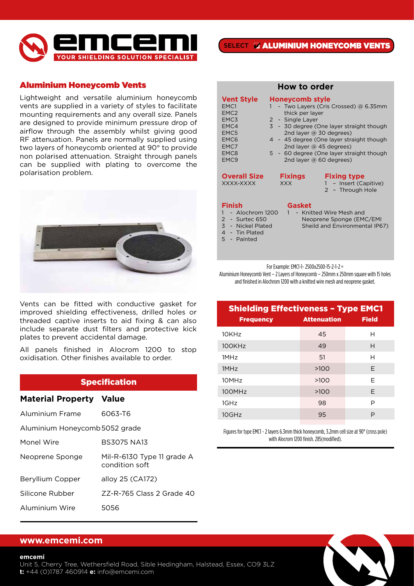

## Aluminium Honeycomb Vents

Lightweight and versatile aluminium honeycomb vents are supplied in a variety of styles to facilitate mounting requirements and any overall size. Panels are designed to provide minimum pressure drop of airflow through the assembly whilst giving good RF attenuation. Panels are normally supplied using two layers of honeycomb oriented at 90° to provide non polarised attenuation. Straight through panels can be supplied with plating to overcome the polarisation problem.



Vents can be fitted with conductive gasket for improved shielding effectiveness, drilled holes or threaded captive inserts to aid fixing & can also include separate dust filters and protective kick plates to prevent accidental damage.

All panels finished in Alocrom 1200 to stop oxidisation. Other finishes available to order.

# **Specification**

#### **Material Property Value**

| Aluminium Frame                | 6063-T6                                      |  |  |
|--------------------------------|----------------------------------------------|--|--|
| Aluminium Honeycomb 5052 grade |                                              |  |  |
| Monel Wire                     | <b>BS3075 NA13</b>                           |  |  |
| Neoprene Sponge                | Mil-R-6130 Type 11 grade A<br>condition soft |  |  |
| Beryllium Copper               | alloy 25 (CA172)                             |  |  |
| Silicone Rubber                | 77-R-765 Class 2 Grade 40                    |  |  |
| Aluminium Wire                 | 5056                                         |  |  |

| How to order                                                                                                                              |                                                                                                                                                                                                                                                                                                                                                 |  |  |
|-------------------------------------------------------------------------------------------------------------------------------------------|-------------------------------------------------------------------------------------------------------------------------------------------------------------------------------------------------------------------------------------------------------------------------------------------------------------------------------------------------|--|--|
| <b>Vent Style</b><br>EMC1<br>EMC <sub>2</sub><br>EMC3<br>EMC4<br>EMC5<br>EMC <sub>6</sub><br>EMC7<br>EMC <sub>8</sub><br>EMC <sub>9</sub> | <b>Honeycomb style</b><br>- Two Layers (Cris Crossed) @ 6.35mm<br>thick per layer<br>2 - Single Layer<br>3 - 30 degree (One layer straight though<br>2nd layer $\omega$ 30 degrees)<br>4 - 45 degree (One layer straight though<br>2nd layer $\omega$ 45 degrees)<br>5 - 60 degree (One layer straight though<br>2nd layer $\omega$ 60 degrees) |  |  |
| <b>Overall Size</b><br>XXXX-XXXX                                                                                                          | <b>Fixings</b><br><b>Fixing type</b><br>1 - Insert (Capitive)<br><b>XXX</b><br>2 - Through Hole                                                                                                                                                                                                                                                 |  |  |
| <b>Finish</b><br>- Alochrom 1200<br>2 - Surtec 650<br>3 - Nickel Plated<br>4 - Tin Plated                                                 | Gasket<br>- Knitted Wire Mesh and<br>Neoprene Sponge (EMC/EMI<br>Sheild and Environmental IP67)                                                                                                                                                                                                                                                 |  |  |

5 - Painted

For Example: EMC1-1- 2500x2500-15-2-1-2 =

Aluminium Honeycomb Vent – 2 Layers of Honeycomb – 250mm x 250mm square with 15 holes and finished in Alochrom 1200 with a knitted wire mesh and neoprene gasket.

| <b>Shielding Effectiveness - Type EMC1</b> |                    |              |  |
|--------------------------------------------|--------------------|--------------|--|
| <b>Frequency</b>                           | <b>Attenuation</b> | <b>Field</b> |  |
| 10KHz                                      | 45                 | н            |  |
| 100KHz                                     | 49                 | Н            |  |
| 1MHz                                       | .51                | Н            |  |
| 1MHz                                       | >100               | F            |  |
| 10MH <sub>7</sub>                          | >100               | F            |  |
| 100MHz                                     | >100               | F            |  |
| 1GHz                                       | 98                 | P            |  |
| 10GHz                                      | 95                 | P            |  |

Figures for type EMC1 - 2 layers 6.3mm thick honeycomb, 3.2mm cell size at 90° (cross pole) with Alocrom 1200 finish. 285(modified).

#### **www.emcemi.com**

Unit 5, Cherry Tree, Wethersfield Road, Sible Hedingham, Halstead, Essex, CO9 3LZ **t:** +44 (0)1787 460914 **e:** info@emcemi.com **15**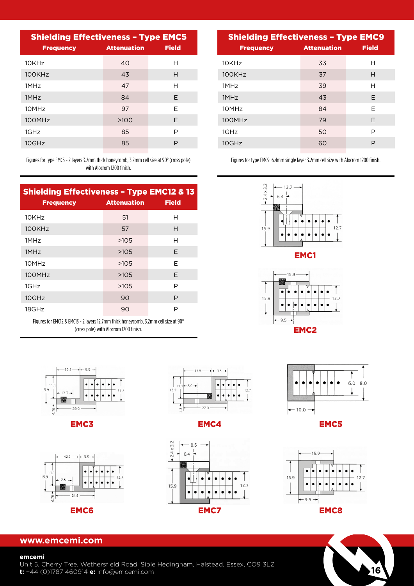| <b>Shielding Effectiveness - Type EMC5</b> |                    |              |  |
|--------------------------------------------|--------------------|--------------|--|
| <b>Frequency</b>                           | <b>Attenuation</b> | <b>Field</b> |  |
| 10KHz                                      | 40                 | н            |  |
| 100KHz                                     | 43                 | Н            |  |
| 1MH <sub>7</sub>                           | 47                 | н            |  |
| 1MHz                                       | 84                 | E.           |  |
| 10MHz                                      | 97                 | F            |  |
| 100MHz                                     | >100               | F            |  |
| 1GHz                                       | 85                 | P            |  |
| 10GHz                                      | 85                 | P            |  |
|                                            |                    |              |  |

Figures for type EMC5 - 2 layers 3.2mm thick honeycomb, 3.2mm cell size at 90° (cross pole) with Alocrom 1200 finish.

| <b>Shielding Effectiveness - Type EMC12 &amp; 13</b> |                    |              |
|------------------------------------------------------|--------------------|--------------|
| <b>Frequency</b>                                     | <b>Attenuation</b> | <b>Field</b> |
| $10K$ H $7$                                          | 51                 | н            |
| 100KHz                                               | 57                 | н            |
| 1MH <sub>7</sub>                                     | >105               | н            |
| 1MHz                                                 | >105               | F            |
| 10MH <sub>7</sub>                                    | >10.5              | F            |
| 100MHz                                               | >105               | F            |
| 1GHz                                                 | >105               | P            |
| 10GHz                                                | 90                 | P            |
| 18GHz                                                | 90                 | P            |

Figures for EMC12 & EMC13 - 2 layers 12.7mm thick honeycomb, 3.2mm cell size at 90° (cross pole) with Alocrom 1200 finish.



EMC3





ſ

EMC4



| <b>Shielding Effectiveness - Type EMC9</b> |                    |              |  |
|--------------------------------------------|--------------------|--------------|--|
| <b>Frequency</b>                           | <b>Attenuation</b> | <b>Field</b> |  |
| 10KHz                                      | 33                 | н            |  |
| 100KHz                                     | 37                 | Н            |  |
| 1MH <sub>7</sub>                           | 39                 | н            |  |
| 1MHz                                       | 43                 | F            |  |
| 10MH <sub>7</sub>                          | 84                 | F            |  |
| 100MHz                                     | 79                 | E            |  |
| 1GHz                                       | 50                 | P            |  |
| 10GHz                                      | 60                 | P            |  |

Figures for type EMC9 6.4mm single layer 3.2mm cell size with Alocrom 1200 finish.



EMC1





EMC5





### **www.emcemi.com**

#### **emcemi**

Unit 5, Cherry Tree, Wethersfield Road, Sible Hedingham, Halstead, Essex, CO9 3LZ **t:** +44 (0)1787 460914 **e:** info@emcemi.com